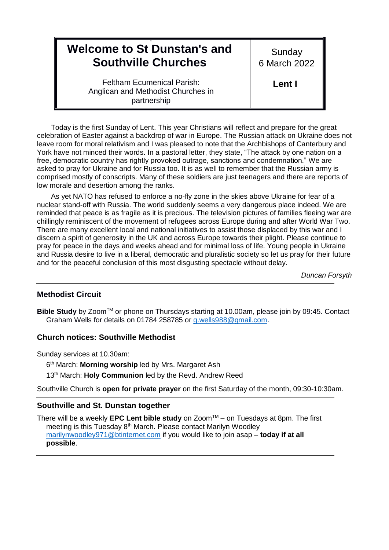# 9 **Welcome to St Dunstan's and Southville Churches**

**Sunday** 6 March 2022

Feltham Ecumenical Parish: Anglican and Methodist Churches in partnership

**Lent I**

Today is the first Sunday of Lent. This year Christians will reflect and prepare for the great celebration of Easter against a backdrop of war in Europe. The Russian attack on Ukraine does not leave room for moral relativism and I was pleased to note that the Archbishops of Canterbury and York have not minced their words. In a pastoral letter, they state, "The attack by one nation on a free, democratic country has rightly provoked outrage, sanctions and condemnation." We are asked to pray for Ukraine and for Russia too. It is as well to remember that the Russian army is comprised mostly of conscripts. Many of these soldiers are just teenagers and there are reports of low morale and desertion among the ranks.

As yet NATO has refused to enforce a no-fly zone in the skies above Ukraine for fear of a nuclear stand-off with Russia. The world suddenly seems a very dangerous place indeed. We are reminded that peace is as fragile as it is precious. The television pictures of families fleeing war are chillingly reminiscent of the movement of refugees across Europe during and after World War Two. There are many excellent local and national initiatives to assist those displaced by this war and I discern a spirit of generosity in the UK and across Europe towards their plight. Please continue to pray for peace in the days and weeks ahead and for minimal loss of life. Young people in Ukraine and Russia desire to live in a liberal, democratic and pluralistic society so let us pray for their future and for the peaceful conclusion of this most disgusting spectacle without delay.

*Duncan Forsyth*

### **Methodist Circuit**

**Bible Study** by Zoom<sup>™</sup> or phone on Thursdays starting at 10.00am, please join by 09:45. Contact Graham Wells for details on 01784 258785 or [g.wells988@gmail.com.](mailto:g.wells988@gmail.com)

### **Church notices: Southville Methodist**

Sunday services at 10.30am:

6 th March: **Morning worship** led by Mrs. Margaret Ash

13th March: **Holy Communion** led by the Revd. Andrew Reed

Southville Church is **open for private prayer** on the first Saturday of the month, 09:30-10:30am.

#### **Southville and St. Dunstan together**

There will be a weekly **EPC Lent bible study** on ZoomTM – on Tuesdays at 8pm. The first meeting is this Tuesday 8<sup>th</sup> March. Please contact Marilyn Woodley [marilynwoodley971@btinternet.com](mailto:marilynwoodley971@btinternet.com) if you would like to join asap – **today if at all possible**.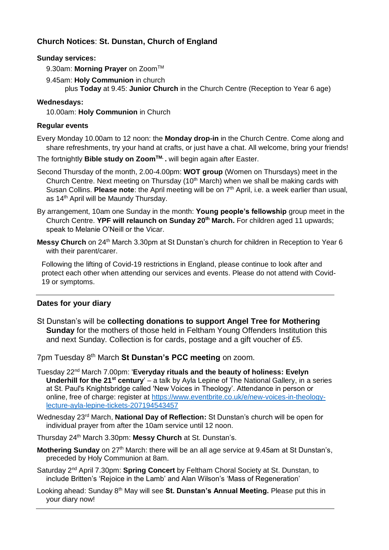# **Church Notices**: **St. Dunstan, Church of England**

### **Sunday services:**

- 9.30am: Morning Prayer on Zoom<sup>™</sup>
- 9.45am: **Holy Communion** in church plus **Today** at 9.45: **Junior Church** in the Church Centre (Reception to Year 6 age)

## **Wednesdays:**

10.00am: **Holy Communion** in Church

### **Regular events**

Every Monday 10.00am to 12 noon: the **Monday drop-in** in the Church Centre. Come along and share refreshments, try your hand at crafts, or just have a chat. All welcome, bring your friends!

The fortnightly **Bible study on ZoomTM. .** will begin again after Easter.

Second Thursday of the month, 2.00-4.00pm: **WOT group** (Women on Thursdays) meet in the Church Centre. Next meeting on Thursday (10<sup>th</sup> March) when we shall be making cards with Susan Collins. **Please note**: the April meeting will be on 7<sup>th</sup> April, i.e. a week earlier than usual, as 14<sup>th</sup> April will be Maundy Thursday.

- By arrangement, 10am one Sunday in the month: **Young people's fellowship** group meet in the Church Centre. **YPF will relaunch on Sunday 20th March.** For children aged 11 upwards; speak to Melanie O'Neill or the Vicar.
- **Messy Church** on 24<sup>th</sup> March 3.30pm at St Dunstan's church for children in Reception to Year 6 with their parent/carer.

Following the lifting of Covid-19 restrictions in England, please continue to look after and protect each other when attending our services and events. Please do not attend with Covid-19 or symptoms.

## **Dates for your diary**

St Dunstan's will be **collecting donations to support Angel Tree for Mothering Sunday** for the mothers of those held in Feltham Young Offenders Institution this and next Sunday. Collection is for cards, postage and a gift voucher of £5.

7pm Tuesday 8th March **St Dunstan's PCC meeting** on zoom.

- Tuesday 22nd March 7.00pm: '**Everyday rituals and the beauty of holiness: Evelyn Underhill for the 21st century**' – a talk by Ayla Lepine of The National Gallery, in a series at St. Paul's Knightsbridge called 'New Voices in Theology'. Attendance in person or online, free of charge: register at [https://www.eventbrite.co.uk/e/new-voices-in-theology](https://www.eventbrite.co.uk/e/new-voices-in-theology-lecture-ayla-lepine-tickets-207194543457)[lecture-ayla-lepine-tickets-207194543457](https://www.eventbrite.co.uk/e/new-voices-in-theology-lecture-ayla-lepine-tickets-207194543457)
- Wednesday 23rd March, **National Day of Reflection:** St Dunstan's church will be open for individual prayer from after the 10am service until 12 noon.
- Thursday 24th March 3.30pm: **Messy Church** at St. Dunstan's.
- **Mothering Sunday** on 27<sup>th</sup> March: there will be an all age service at 9.45am at St Dunstan's, preceded by Holy Communion at 8am.
- Saturday 2nd April 7.30pm: **Spring Concert** by Feltham Choral Society at St. Dunstan, to include Britten's 'Rejoice in the Lamb' and Alan Wilson's 'Mass of Regeneration'
- Looking ahead: Sunday 8th May will see **St. Dunstan's Annual Meeting.** Please put this in your diary now!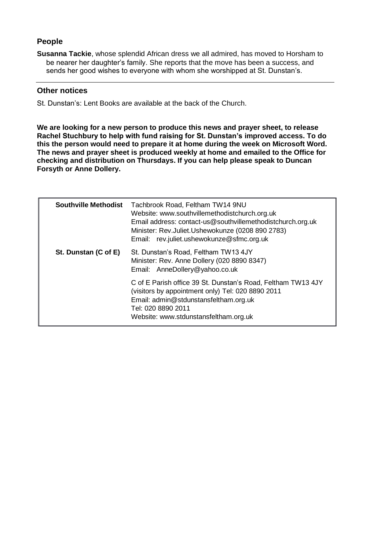# **People**

**Susanna Tackie**, whose splendid African dress we all admired, has moved to Horsham to be nearer her daughter's family. She reports that the move has been a success, and sends her good wishes to everyone with whom she worshipped at St. Dunstan's.

### **Other notices**

St. Dunstan's: Lent Books are available at the back of the Church.

**We are looking for a new person to produce this news and prayer sheet, to release Rachel Stuchbury to help with fund raising for St. Dunstan's improved access. To do this the person would need to prepare it at home during the week on Microsoft Word. The news and prayer sheet is produced weekly at home and emailed to the Office for checking and distribution on Thursdays. If you can help please speak to Duncan Forsyth or Anne Dollery.**

| <b>Southville Methodist</b> | Tachbrook Road, Feltham TW14 9NU<br>Website: www.southvillemethodistchurch.org.uk<br>Email address: contact-us@southvillemethodistchurch.org.uk<br>Minister: Rev.Juliet.Ushewokunze (0208 890 2783)<br>Email: rev.juliet.ushewokunze@sfmc.org.uk |  |
|-----------------------------|--------------------------------------------------------------------------------------------------------------------------------------------------------------------------------------------------------------------------------------------------|--|
| St. Dunstan (C of E)        | St. Dunstan's Road, Feltham TW13 4JY<br>Minister: Rev. Anne Dollery (020 8890 8347)<br>Email: AnneDollery@yahoo.co.uk                                                                                                                            |  |
|                             | C of E Parish office 39 St. Dunstan's Road, Feltham TW13 4JY<br>(visitors by appointment only) Tel: 020 8890 2011<br>Email: admin@stdunstansfeltham.org.uk<br>Tel: 020 8890 2011<br>Website: www.stdunstansfeltham.org.uk                        |  |